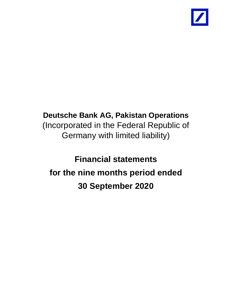

## **Deutsche Bank AG, Pakistan Operations** (Incorporated in the Federal Republic of Germany with limited liability)

# **Financial statements for the nine months period ended 30 September 2020**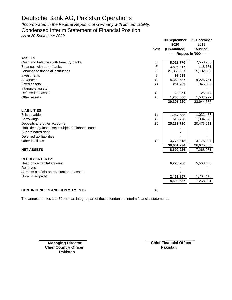*(Incorporated in the Federal Republic of Germany with limited liability)*

Condensed Interim Statement of Financial Position

*As at 30 September 2020*

|                                                     |             | 30 September<br>2020          | 31 December |
|-----------------------------------------------------|-------------|-------------------------------|-------------|
|                                                     |             |                               | 2019        |
|                                                     | <b>Note</b> | (Un-audited)                  | (Audited)   |
| <b>ASSETS</b>                                       |             | ------- Rupees in '000 ------ |             |
| Cash and balances with treasury banks               |             | 8,019,776                     | 7,558,956   |
| Balances with other banks                           | 6<br>7      | 3,896,817                     | 118,681     |
| Lendings to financial institutions                  | 8           | 21,358,807                    | 15,132,302  |
| Investments                                         | 9           | 99,539                        |             |
| Advances                                            | 10          |                               | 9,225,751   |
| <b>Fixed assets</b>                                 | 11          | 4,369,687                     |             |
|                                                     |             | 261,983                       | 345,355     |
| Intangible assets<br>Deferred tax assets            | 12          |                               | 25,344      |
| Other assets                                        | 13          | 28,051                        | 1,537,997   |
|                                                     |             | 1,266,560<br>39,301,220       | 33,944,386  |
|                                                     |             |                               |             |
| <b>LIABILITIES</b>                                  |             |                               |             |
| Bills payable                                       | 14          | 1,067,638                     | 1,032,458   |
| <b>Borrowings</b>                                   | 15          | 515,728                       | 1,394,029   |
| Deposits and other accounts                         | 16          | 25,239,710                    | 20,473,611  |
| Liabilities against assets subject to finance lease |             |                               |             |
| Subordinated debt                                   |             |                               |             |
| Deferred tax liabilities                            |             |                               |             |
| <b>Other liabilities</b>                            | 17          | 3,778,218                     | 3,776,207   |
|                                                     |             | 30,601,294                    | 26,676,305  |
| <b>NET ASSETS</b>                                   |             | 8,699,926                     | 7,268,081   |
|                                                     |             |                               |             |
| <b>REPRESENTED BY</b>                               |             |                               |             |
| Head office capital account                         |             | 6,228,780                     | 5,563,663   |
| Reserves                                            |             |                               |             |
| Surplus/ (Deficit) on revaluation of assets         |             |                               |             |
| Unremitted profit                                   |             | 2,469,857                     | 1,704,418   |
|                                                     |             | 8,698,637                     | 7,268,081   |
|                                                     |             |                               |             |
| <b>CONTINGENCIES AND COMMITMENTS</b>                | 18          |                               |             |

The annexed notes 1 to 32 form an integral part of these condensed interim financial statements.

**Chief Country Officer Pakistan** 

**Managing Director Chief Financial Officer Pakistan**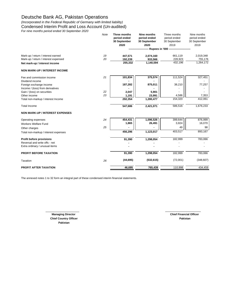*(Incorporated in the Federal Republic of Germany with limited liability)*

Condensed Interim Profit and Loss Account (Un-audited)

*For nine months period ended 30 September 2020*

|                                        | Note | Three months<br>period ended |                     | Nine months<br>period ended | Three months<br>period ended | Nine months<br>period ended |
|----------------------------------------|------|------------------------------|---------------------|-----------------------------|------------------------------|-----------------------------|
|                                        |      | 30 September                 | 30 September        | 30 September                | 30 September                 |                             |
|                                        |      | 2020                         | 2020                | 2019                        | 2019                         |                             |
|                                        |      |                              | - Rupees in '000 -- |                             |                              |                             |
| Mark-up / return / interest earned     | 19   | 447,571                      | 2,074,160           | 661,119                     | 2,019,348                    |                             |
| Mark-up / return / interest expensed   | 20   | 192,239                      | 933,566             | 228,923                     | 755,176                      |                             |
| Net mark-up / interest income          |      | 255,332                      | 1,140,594           | 432,196                     | 1,264,172                    |                             |
| <b>NON MARK-UP / INTEREST INCOME</b>   |      |                              |                     |                             |                              |                             |
| Fee and commission income              | 21   | 101,834                      | 375,574             | 111,524                     | 327,451                      |                             |
| Dividend income                        |      |                              |                     |                             |                              |                             |
| Foreign exchange income                |      | 187,282                      | 875,011             | 38,210                      | 77,257                       |                             |
| Income / (loss) from derivatives       |      |                              |                     |                             |                              |                             |
| Gain / (loss) on securities            | 22   | 2,047                        | 5,901               |                             |                              |                             |
| Other income                           | 23   | 1,191                        | 23,991              | 4,586                       | 7,353                        |                             |
| Total non-markup / interest Income     |      | 292,354                      | 1,280,477           | 154,320                     | 412,061                      |                             |
| <b>Total Income</b>                    |      | 547,686                      | 2,421,071           | 586,516                     | 1,676,233                    |                             |
| <b>NON MARK-UP / INTEREST EXPENSES</b> |      |                              |                     |                             |                              |                             |
| Operating expenses                     | 24   | 454,431                      | 1,096,526           | 399,644                     | 876,999                      |                             |
| <b>Workers Welfare Fund</b>            |      | 1,865                        | 26,491              | 3,824                       | 16,070                       |                             |
| Other charges                          | 25   |                              |                     | 49                          | 98                           |                             |
| Total non-markup / interest expenses   |      | 456,296                      | 1,123,017           | 403,517                     | 893,167                      |                             |
| Profit before provisions               |      | 91,390                       | 1,298,054           | 182,999                     | 783,066                      |                             |
| Reversal and write offs - net          |      |                              |                     |                             |                              |                             |
| Extra ordinary / unusual items         |      |                              |                     |                             |                              |                             |
| PROFIT BEFORE TAXATION                 |      | 91,390                       | 1,298,054           | 182,999                     | 783,066                      |                             |
| Taxation                               | 26   | (44, 695)                    | (532, 615)          | (72,001)                    | (348, 607)                   |                             |
| <b>PROFIT AFTER TAXATION</b>           |      | 46,695                       | 765,439             | 110,998                     | 434,459                      |                             |

The annexed notes 1 to 32 form an integral part of these condensed interim financial statements.

**Chief Country Officer Pakistan Pakistan**

**Managing Director Chief Financial Officer Chief Financial Officer**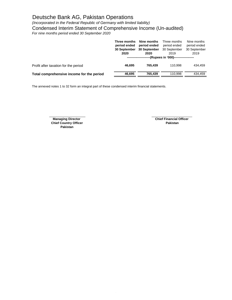*(Incorporated in the Federal Republic of Germany with limited liability)*

Condensed Interim Statement of Comprehensive Income (Un-audited)

*For nine months period ended 30 September 2020*

|                                           | Three months<br>period ended<br>30 September<br>2020 | Nine months<br>period ended<br>30 September<br>2020 | Three months<br>period ended<br>30 September<br>2019<br>----(Rupees in '000)------------------- | Nine months<br>period ended<br>30 September<br>2019 |
|-------------------------------------------|------------------------------------------------------|-----------------------------------------------------|-------------------------------------------------------------------------------------------------|-----------------------------------------------------|
| Profit after taxation for the period      | 46,695                                               | 765.439                                             | 110.998                                                                                         | 434.459                                             |
| Total comprehensive income for the period | 46,695                                               | 765.439                                             | 110.998                                                                                         | 434,459                                             |

The annexed notes 1 to 32 form an integral part of these condensed interim financial statements.

**Chief Country Officer Pakistan Pakistan**

**Managing Director** Chief Financial Officer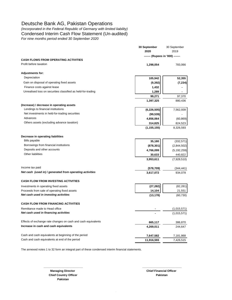### *(Incorporated in the Federal Republic of Germany with limited liability)* Condensed Interim Cash Flow Statement (Un-audited)

*For nine months period ended 30 September 2020*

|                                                               | 30 September                     | 30 September<br>2019 |  |
|---------------------------------------------------------------|----------------------------------|----------------------|--|
|                                                               | 2020                             |                      |  |
|                                                               | ------- (Rupees in '000) ------- |                      |  |
| <b>CASH FLOWS FROM OPERATING ACTIVITIES</b>                   |                                  |                      |  |
| Profit before taxation                                        | 1,298,054                        | 783,066              |  |
| <b>Adjustments for:</b>                                       |                                  |                      |  |
| Depreciation                                                  | 105,942                          | 52,355               |  |
| Gain on disposal of operating fixed assets                    | (9, 392)                         | (7, 234)             |  |
| Finance costs against lease                                   | 1,432                            |                      |  |
| Unrealised loss on securities classified as held-for-trading  | 1,289                            |                      |  |
|                                                               | 99,271                           | 97,370               |  |
|                                                               | 1,397,325                        | 880,436              |  |
| (Increase) / decrease in operating assets                     |                                  |                      |  |
| Lendings to financial institutions                            | (6, 226, 505)                    | 7,562,939            |  |
| Net investments in held-for-trading securities                | (99, 539)                        |                      |  |
| Advances                                                      | 4,856,064                        | (60, 869)            |  |
| Others assets (excluding advance taxation)                    | 314,825                          | 824,523              |  |
|                                                               | (1, 155, 155)                    | 8,326,593            |  |
| Decrease in operating liabilities                             |                                  |                      |  |
| <b>Bills payable</b>                                          | 35,180                           | (332, 571)           |  |
| Borrowings from financial institutions                        | (878, 301)                       | (2,844,502)          |  |
| Deposits and other accounts                                   | 4,766,099                        | (5, 192, 259)        |  |
| Other liabilities                                             | 30,633                           | 440,822              |  |
|                                                               | 3,953,611                        | (7,928,510)          |  |
| Income tax paid                                               | (578, 709)                       | (344,441)            |  |
| Net cash (used in) / generated from operating activities      | 3,617,072                        | 934,078              |  |
| <b>CASH FLOW FROM INVESTING ACTIVITIES</b>                    |                                  |                      |  |
| Investments in operating fixed assets                         | (27, 282)                        | (82, 281)            |  |
| Proceeds from sale of operating fixed assets                  | 14,104                           | 21,551               |  |
| Net cash used in investing activities                         | (13, 178)                        | (60, 730)            |  |
| <b>CASH FLOW FROM FINANCING ACTIVITIES</b>                    |                                  |                      |  |
| Remittance made to Head office                                |                                  | (1,015,571)          |  |
| Net cash used in financing activities                         |                                  | (1,015,571)          |  |
| Effects of exchange rate changes on cash and cash equivalents | 665,117                          | 386,870              |  |
| Increase in cash and cash equivalents                         | 4,269,011                        | 244,647              |  |
| Cash and cash equivalents at beginning of the period          | 7,647,582                        | 7,181,868            |  |
| Cash and cash equivalents at end of the period                | 11,916,593                       | 7,426,515            |  |
|                                                               |                                  |                      |  |

**\_\_\_\_\_\_\_\_\_\_\_\_\_\_\_\_\_\_\_\_\_\_\_\_\_ \_\_\_\_\_\_\_\_\_\_\_\_\_\_\_\_\_\_\_\_\_\_\_\_\_**

The annexed notes 1 to 32 form an integral part of these condensed interim financial statements.

**Chief Country Officer Countries and Countries and Countries and Pakistan Pakistan**

**Managing Director Chief Financial Officer**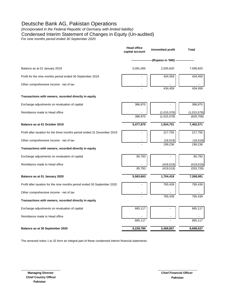### *(Incorporated in the Federal Republic of Germany with limited liability)*

Condensed Interim Statement of Changes in Equity (Un-audited)

*For nine months period ended 30 September 2020*

|                                                                          | <b>Head office</b><br>capital account | <b>Unremitted profit</b>   | <b>Total</b>              |  |
|--------------------------------------------------------------------------|---------------------------------------|----------------------------|---------------------------|--|
|                                                                          |                                       | -(Rupees in '000) --       |                           |  |
| Balance as at 01 January 2019                                            | 5,091,000                             | 2,505,820                  | 7,596,820                 |  |
| Profit for the nine months period ended 30 September 2019                |                                       | 434,459                    | 434,459                   |  |
| Other comprehensive income - net of tax                                  |                                       | 434,459                    | 434,459                   |  |
| Transactions with owners, recorded directly in equity                    |                                       |                            |                           |  |
| Exchange adjustments on revaluation of capital                           | 386,870                               |                            | 386,870                   |  |
| Remittance made to Head office                                           | 386,870                               | (1,015,578)<br>(1,015,578) | (1,015,578)<br>(628, 708) |  |
| Balance as at 01 October 2019                                            | 5,477,870                             | 1,924,701                  | 7,402,571                 |  |
| Profit after taxation for the three months period ended 31 December 2019 |                                       | 217,755                    | 217,755                   |  |
| Other comprehensive income - net of tax                                  |                                       | (18, 519)<br>199,236       | (18, 519)<br>199,236      |  |
| Transactions with owners, recorded directly in equity                    |                                       |                            |                           |  |
| Exchange adjustments on revaluation of capital                           | 85,793                                |                            | 85,793                    |  |
| Remittance made to Head office                                           | 85,793                                | (419, 519)<br>(419, 519)   | (419, 519)<br>(333, 726)  |  |
| Balance as at 01 January 2020                                            | 5,563,663                             | 1,704,418                  | 7,268,081                 |  |
| Profit after taxation for the nine months period ended 30 September 2020 |                                       | 765,439                    | 765,439                   |  |
| Other comprehensive income - net of tax                                  |                                       | 765,439                    | 765,439                   |  |
| Transactions with owners, recorded directly in equity                    |                                       |                            |                           |  |
| Exchange adjustments on revaluation of capital                           | 665,117                               |                            | 665,117                   |  |
| Remittance made to Head office                                           | 665,117                               |                            | 665,117                   |  |
| Balance as at 30 September 2020                                          | 6,228,780                             | 2,469,857                  | 8,698,637                 |  |

\_\_\_\_\_\_\_\_\_\_\_\_\_\_\_\_\_\_\_\_\_\_\_\_ \_\_\_\_\_\_\_\_\_\_\_\_\_\_\_\_\_\_\_\_\_\_\_\_

The annexed notes 1 to 32 form an integral part of these condensed interim financial statements.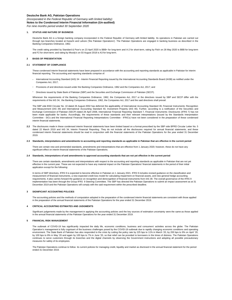*(Incorporated in the Federal Republic of Germany with limited liability)* **Notes to the Condensed Interim Financial Information (Un-audited)**

*For nine months period ended 30 September 2020*

#### **1. STATUS AND NATURE OF BUSINESS**

Deutsche Bank AG is a foreign banking company incorporated in the Federal Republic of Germany with limited liability. Its operations in Pakistan are carried out through two branches located at Karachi and Lahore ('the Pakistan Operations'). The Pakistan Operations are engaged in banking business as described in the Banking Companies Ordinance, 1962.

The credit rating provided by Standard & Poor's on 23 April 2020 is BBB+ for long-term and A-2 for short-term, rating by Fitch on 28 May 2020 is BBB for long-term and F2 for short-term; and rating by Moody's on 03 August 2018 is A3 for long-term.

#### **2 BASIS OF PRESENTATION**

#### **2.1 STATEMENT OF COMPLIANCE**

These condensed interim financial statements have been prepared in accordance with the accounting and reporting standards as applicable in Pakistan for interim financial reporting. The accounting and reporting standards comprise of:

- **-** International Accounting Standard (IAS) 34 - Interim Financial Reporting issued by the International Accounting Standards Board (IASB) as notified under the Companies Act, 2017;
- **-** Provisions of and directives issued under the Banking Companies Ordinance, 1962 and the Companies Act, 2017; and
- **-** Directives issued by State Bank of Pakistan (SBP) and the Securities and Exchange Commission of Pakistan (SECP).

Whenever the requirements of the Banking Companies Ordinance, 1962, the Companies Act, 2017 or the directives issued by SBP and SECP differ with the requirements of the IAS 34, the Banking Companies Ordinance, 1962, the Companies Act, 2017 and the said directives shall prevail.

The SBP vide BSD Circular No. 10 dated 26 August 2002 has deferred the applicability of International Accounting Standard 39, Financial Instruments: Recognition and Measurement (IAS 39) and International Accounting Standard 40, Investment Property (IAS 40). Further, according to a notification of the Securities and Exchange Commission of Pakistan (SECP) dated 28 April 2008, International Financial Reporting Standard 7, Financial Instruments: Disclosures (IFRS 7) has not been made applicable for banks. Accordingly, the requirements of these standards and their relevant interpretations (issued by the Standards Interpretation Committee - SICs and the International Financial Reporting Interpretations Committee - IFRICs) have not been considered in the preparation of these condensed interim financial statements.

**2.2** The disclosures made in these condensed interim financial statements have been limited based on a format prescribed by the SBP vide BPRD Circular Letter No. 5 dated 22 March 2019 and IAS 34, Interim Financial Reporting. They do not include all the disclosures required for annual financial statements, and these condensed interim financial statements should be read in conjunction with the financial statements of the Pakistan Operations for the year ended 31 December 2019.

#### **2.3 Standards, interpretations and amendments to accounting and reporting standards as applicable in Pakistan that are effective in the current period**

There are certain new and ammended standards, amendments and interpretations that are effective from 1 January 2020; however, these do not have any significant effect on interim financial statements of the Pakistan Operations.

#### **2.4 Standards, interpretations of and amendments to approved accounting standards that are not yet effective in the current period**

There are certain standards, amendments and interpretations with respect to the accounting and reporting standards as applicable in Pakistan that are not yet effective in the current year. These are not expected to have any material impact on the Pakistan Operations' financial statements in the period of their initial application except for the following:

In terms of SBP directives, IFRS 9 is expected to become effective in Pakistan on 1 January 2021. IFRS 9 includes revised guidance on the classification and measurement of financial instruments, a new expected credit loss model for calculating impairment on financial assets, and new general hedge accounting requirements. It also carries forward the guidance on recognition and derecognition of financial instruments from IAS 39. The overall governance of the IFRS 9 implementation has been through the Group IFRS 9 Steering Committee. The SBP has directed the Pakistan Operations to submit an impact assessment as at 31 December 2019 and the Pakistan Operations will comply with the said requirement within the prescribed deadline.

#### **3 SIGNIFICANT ACCOUNTING POLICIES**

The accounting policies and the methods of computation adopted in the preparation of the condensed interim financial statements are consistent with those applied in the preparation of the annual financial statements of the Pakistan Operations for the year ended 31 December 2019.

#### **4 CRITICAL ACCOUNTING ESTIMATES AND JUDGMENTS**

Significant judgements made by the management in applying the accounting policies and the key sources of estimation uncertainty were the same as those applied in the annual financial statements of the Pakistan Operations for the year ended 31 December 2019.

#### **5 FINANCIAL RISK MANAGEMENT**

The outbreak of COVID-19 has significantly impacted the daily life, economic conditions, business and consumers' activities across the globe. The Pakistan Operation's management is fully cognisant of the business challenges posed by the COVID-19 outbreak due to rapidly changing economic conditions and operating environment. The State Bank of Pakistan has also responded to the crisis by cutting the policy rate by 225 bps to 11% in March '20, by 200 bps to 9% on April '20, by 100 bps to 8% in May '20 and again by 100 bps to 7% in June '20, so that relief can be provided to borrowers in the times of distress. The Pakistan Operations continues to serve customers through its branches and the digital channels by observing the Government instructions and adopting all possible precautionary measures for safety of its employees.

The Pakistan Operations continue to follow its current policies for managing credit, liquidity and market as disclosed in the annual financial statement for the period ended 31 December 2019.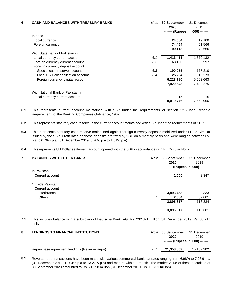| 6 | <b>CASH AND BALANCES WITH TREASURY BANKS</b> | Note | <b>30 September</b><br>2020      | 31 December<br>2019 |
|---|----------------------------------------------|------|----------------------------------|---------------------|
|   |                                              |      | ------- (Rupees in '000) ------- |                     |
|   | In hand                                      |      |                                  |                     |
|   | Local currency                               |      | 24.654                           | 19,100              |
|   | Foreign currency                             |      | 74,464                           | 51,566              |
|   |                                              |      | 99,118                           | 70,666              |
|   | With State Bank of Pakistan in               |      |                                  |                     |
|   | Local currency current account               | 6.1  | 1,413,411                        | 1,670,132           |
|   | Foreign currency current account             | 6.2  | 63,133                           | 58,997              |
|   | Foreign currency deposit account             |      |                                  |                     |
|   | Special cash reserve account                 | 6.3  | 190,055                          | 177,210             |
|   | Local US Dollar collection account           | 6.4  | 25,264                           | 18,273              |
|   | Foreign currency capital account             |      | 6,228,780                        | 5,563,663           |
|   |                                              |      | 7,920,643                        | 7,488,275           |
|   | With National Bank of Pakistan in            |      |                                  |                     |
|   | Local currency current account               |      | 15                               | 15                  |
|   |                                              |      | 8,019,776                        | 7,558,956           |

**6.1** This represents current account maintained with SBP under the requirements of section 22 (Cash Reserve Requirement) of the Banking Companies Ordinance, 1962.

- **6.2** This represents statutory cash reserve in the current account maintained with SBP under the requirements of SBP.
- **6.3** This represents statutory cash reserve maintained against foreign currency deposits mobilized under FE 25 Circular issued by the SBP. Profit rates on these deposits are fixed by SBP on a monthly basis and were ranging between 0% p.a to 0.76% p.a. (31 December 2019: 0.70% p.a to 1.51% p.a).

**6.4** This represents US Dollar settlement account opened with the SBP in accordance with FE Circular No. 2.

| 7 | <b>BALANCES WITH OTHER BANKS</b> | Note | 30 September<br>2020<br>------- (Rupees in '000) ------- | 31 December<br>2019 |
|---|----------------------------------|------|----------------------------------------------------------|---------------------|
|   | In Pakistan                      |      |                                                          |                     |
|   | Current account                  |      | 1,000                                                    | 2,347               |
|   | Outside Pakistan                 |      |                                                          |                     |
|   | Current account                  |      |                                                          |                     |
|   | Interbranch                      |      | 3,893,463                                                | 29,333              |
|   | <b>Others</b>                    | 7.1  | 2,354                                                    | 87,001              |
|   |                                  |      | 3,895,817                                                | 116,334             |
|   |                                  |      | 3,896,817                                                | 118,681             |

**7.1** This includes balance with a subsidiary of Deutsche Bank, AG. Rs. 232.871 million (31 December 2019: Rs. 85.217 million).

| LENDINGS TO FINANCIAL INSTITUTIONS           | Note | 30 September                     | 31 December |  |
|----------------------------------------------|------|----------------------------------|-------------|--|
|                                              |      | 2020                             | 2019        |  |
|                                              |      | ------- (Rupees in '000) ------- |             |  |
| Repurchase agreement lendings (Reverse Repo) | 8.1  | 21,358,807                       | 15,132,302  |  |

**8.1** Reverse repo transactions have been made with various commercial banks at rates ranging from 6.98% to 7.06% p.a (31 December 2019: 13.04% p.a to 13.27% p.a) and mature within a month. The market value of these securities at 30 September 2020 amounted to Rs. 21,398 million (31 December 2019: Rs. 15,731 million).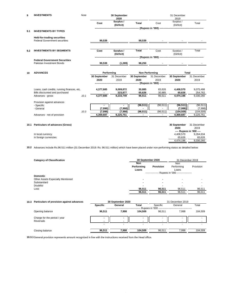| 9   | <b>INVESTMENTS</b>                                                         | Note |                      | 30 September<br>2020   |                       |                     | 31 December<br>2019    |                     |
|-----|----------------------------------------------------------------------------|------|----------------------|------------------------|-----------------------|---------------------|------------------------|---------------------|
|     |                                                                            |      | Cost                 | Surplus /<br>(Deficit) | Total                 | Cost                | Surplus /<br>(Deficit) | Total               |
|     | <b>INVESTMENTS BY TYPES</b>                                                |      |                      |                        |                       |                     |                        |                     |
| 9.1 |                                                                            |      |                      |                        |                       |                     |                        |                     |
|     | <b>Held-for-trading securities</b><br><b>Federal Government securities</b> |      | 99,539               |                        | 99,539                |                     |                        |                     |
|     |                                                                            |      |                      |                        |                       |                     |                        |                     |
| 9.2 | <b>INVESTMENTS BY SEGMENTS</b>                                             |      | Cost                 | Surplus /<br>(Deficit) | Total                 | Cost                | Surplus /<br>(Deficit) | Total               |
|     | <b>Federal Government Securities</b>                                       |      |                      |                        |                       |                     |                        |                     |
|     | Pakistan Investment Bonds                                                  |      | 99,539               | (1, 289)               | 98,250                |                     |                        |                     |
|     |                                                                            |      |                      |                        |                       |                     |                        |                     |
| 10  | <b>ADVANCES</b>                                                            |      | Performing           |                        | <b>Non Performing</b> |                     | <b>Total</b>           |                     |
|     |                                                                            |      | 30 September<br>2020 | 31 December<br>2019    | 30 September<br>2020  | 31 December<br>2019 | 30 September<br>2020   | 31 December<br>2019 |
|     |                                                                            |      |                      |                        |                       |                     |                        |                     |
|     | Loans, cash credits, running finances, etc.                                |      | 4,377,685            | 9,009,872              | 30,885                | 65,626              | 4,408,570              | 9,075,498           |
|     | Bills discounted and purchased                                             |      | 4,377,685            | 223,877                | 65,626                | 30,885<br>96.511    | 65,626                 | 254,762             |
|     | Advances - gross                                                           | 10.1 |                      | 9,233,749              | 96,511                |                     | 4,474,196              | 9,330,260           |
|     | Provision against advances                                                 |      |                      |                        |                       |                     |                        |                     |
|     | - Specific                                                                 |      |                      |                        | (96, 511)             | (96, 511)           | (96, 511)              | (96, 511)           |
|     | - General                                                                  |      | (7,998)              | (7,998)                |                       |                     | (7,998)                | (7,998)             |
|     |                                                                            | 10.3 | (7,998)              | (7,998)                | (96, 511)             | (96, 511)           | (104, 509)             | (104, 509)          |
|     | Advances - net of provision                                                |      | 4,369,687            | 9,225,751              |                       | $\sim$              | 4,369,687              | 9,225,751           |
|     |                                                                            |      |                      |                        |                       |                     |                        |                     |
|     | 10.1 Particulars of advances (Gross)                                       |      |                      |                        |                       |                     | 30 September           | 31 December         |

| Particulars of advances (Gross) | <b>30 September</b> | 31 December              |
|---------------------------------|---------------------|--------------------------|
|                                 | 2020                | 2019                     |
|                                 |                     | ---- Rupees in '000 ---- |
| In local currency               | 4.408.570           | 9.264.634                |
| In foreign currencies           | 65.626              | 65.626                   |
|                                 | 4.474.196           | 9.330.260                |

**10.2** Advances include Rs.96.511 million (31 December 2019: Rs. 96.511 million) which have been placed under non-performing status as detailed below:

| <b>Category of Classification</b> | 30 September 2020                                 |                  |            | 31 December 2019         |
|-----------------------------------|---------------------------------------------------|------------------|------------|--------------------------|
|                                   | Non                                               |                  | Non        |                          |
|                                   | Performing                                        | <b>Provision</b> | Performing | Provision                |
|                                   | Loans                                             |                  | Loans      |                          |
|                                   | --------------- Rupees in '000 ------------------ |                  |            |                          |
| <b>Domestic</b>                   |                                                   |                  |            |                          |
| Other Assets Especially Mentioned | $\overline{\phantom{a}}$                          | -                |            |                          |
| Substandard                       | $\overline{\phantom{a}}$                          |                  |            |                          |
| Doubtful                          | <b>.</b>                                          |                  |            | $\overline{\phantom{a}}$ |
| Loss                              | 96,511                                            | 96,511           | 96,511     | 96,511                   |
|                                   | 96,511                                            | 96,511           | 96,511     | 96,511                   |

| 10.3 Particulars of provision against advances | 30 September 2020        |                |         | 31 December 2019       |          |         |
|------------------------------------------------|--------------------------|----------------|---------|------------------------|----------|---------|
|                                                | <b>Specific</b>          | General        | Total   | Specific               | General  | Total   |
|                                                |                          |                |         | -- Rupees in '000 ---- |          |         |
| Opening balance                                | 96,511                   | 7.998          | 104.509 | 96.511                 | 7.998    | 104,509 |
| Charge for the period / year                   | $\overline{\phantom{a}}$ |                | $\sim$  |                        |          |         |
| Reversals                                      | -                        | $\blacksquare$ |         |                        |          |         |
|                                                | -                        | $\blacksquare$ |         |                        | <b>.</b> |         |
| Closing balance                                | 96.511                   | 7.998          | 104.509 | 96.511                 | 7.998    | 104.509 |

**10.3.1** General provision represents amount recognized in line with the instructions received from the Head office.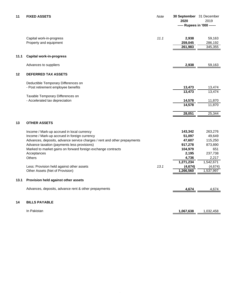| ----- Rupees in '000 ------<br>11.1<br>2,938<br>Capital work-in-progress<br>Property and equipment<br>259,045<br>261,983<br><b>Capital work-in-progress</b><br>11.1<br>2,938<br>Advances to suppliers | 2019              |
|-------------------------------------------------------------------------------------------------------------------------------------------------------------------------------------------------------|-------------------|
|                                                                                                                                                                                                       |                   |
|                                                                                                                                                                                                       | 59,163<br>286,192 |
|                                                                                                                                                                                                       | 345,355           |
|                                                                                                                                                                                                       |                   |
|                                                                                                                                                                                                       | 59,163            |
| 12<br><b>DEFERRED TAX ASSETS</b>                                                                                                                                                                      |                   |
| Deductible Temporary Differences on                                                                                                                                                                   |                   |
| - Post retirement employee benefits<br>13,473<br>13,473                                                                                                                                               | 13,474<br>13,474  |
| Taxable Temporary Differences on                                                                                                                                                                      |                   |
| - Accelerated tax depreciation<br>14,578                                                                                                                                                              | 11,870            |
| 14,578                                                                                                                                                                                                | 11,870            |
| 28,051                                                                                                                                                                                                | 25,344            |
| <b>OTHER ASSETS</b><br>13                                                                                                                                                                             |                   |
| Income / Mark-up accrued in local currency<br>143,342                                                                                                                                                 | 263,276           |
| 51,097<br>Income / Mark-up accrued in foreign currency                                                                                                                                                | 49,649            |
| Advances, deposits, advance service charges / rent and other prepayments<br>47,607                                                                                                                    | 115,250           |
| Advance taxation (payments less provisions)<br>917,278                                                                                                                                                | 873,890           |
| Marked to market gains on forward foreign exchange contracts<br>104,979<br>Acceptances<br>2,195                                                                                                       | 651<br>237,738    |
| <b>Others</b><br>4,736                                                                                                                                                                                | 2,217             |
| 1,271,234                                                                                                                                                                                             | 1,542,671         |
| Less: Provision held against other assets<br>13.1<br>(4, 674)                                                                                                                                         | (4,674)           |
| Other Assets (Net of Provision)<br>1,266,560                                                                                                                                                          | 1,537,997         |
| Provision held against other assets<br>13.1                                                                                                                                                           |                   |
| Advances, deposits, advance rent & other prepayments<br>4,674                                                                                                                                         | 4,674             |
| <b>BILLS PAYABLE</b><br>14                                                                                                                                                                            |                   |
| In Pakistan<br>1,067,638                                                                                                                                                                              | 1,032,458         |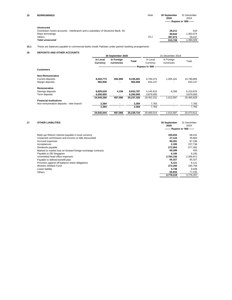#### **15.1** These are balances payable to commercial banks inside Pakistan under partner banking arrangements.

#### **16 DEPOSITS AND OTHER ACCOUNTS**

|                                          |                      | 30 September 2020        |            |                                       | 31 December 2019         |            |
|------------------------------------------|----------------------|--------------------------|------------|---------------------------------------|--------------------------|------------|
|                                          | In Local<br>Currency | In Foreign<br>currencies | Total      | In Local<br>Currency                  | In Foreign<br>currencies | Total      |
|                                          |                      |                          |            | Rupees in '000 ---------------------- |                          |            |
| <b>Customers</b>                         |                      |                          |            |                                       |                          |            |
| <b>Non-Remunerative</b>                  |                      |                          |            |                                       |                          |            |
| Current deposits                         | 8.543.773            | 692,908                  | 9,236,681  | 9,794,474                             | 1,005,331                | 10,799,805 |
| Margin deposits                          | 965,958              | $\overline{\phantom{a}}$ | 965,958    | 633,147                               |                          | 633,147    |
| Remunerative                             |                      |                          |            |                                       |                          |            |
| Savings deposits                         | 8,829,629            | 4.158                    | 8,833,787  | 5,145,610                             | 8.266                    | 5,153,876  |
| Term deposits                            | 6,200,900            |                          | 6,200,900  | 3,879,000                             |                          | 3,879,000  |
|                                          | 24.540.260           | 697,066                  | 25,237,326 | 19,452,231                            | 1,013,597                | 20,465,828 |
| <b>Financial Institutions</b>            |                      |                          |            |                                       |                          |            |
| Non-remunerative deposits - inter branch | 2,384                |                          | 2,384      | 7,783                                 | ٠                        | 7,783      |
|                                          | 2,384                | $\overline{\phantom{a}}$ | 2,384      | 7,783                                 | ۰                        | 7,783      |
|                                          | 24.542.644           | 697,066                  | 25,239,710 | 19.460.014                            | 1,013,597                | 20.473.611 |

| 17<br><b>OTHER LIABILITIES</b>                              | 30 September<br>2020          | 31 December<br>2019 |
|-------------------------------------------------------------|-------------------------------|---------------------|
|                                                             | ------- Rupees in '000 ------ |                     |
| Mark-up/ Return/ Interest payable in local currency         | 100,634                       | 68,431              |
| Unearned commission and income on bills discounted          | 27,124                        | 35,883              |
| Accrued expenses                                            | 99.291                        | 87,196              |
| Acceptances                                                 | 2.195                         | 237,738             |
| Dividends payable                                           | 272,954                       | 577,392             |
| Marked to market loss on forward foreign exchange contracts | 69,399                        | 450                 |
| Payable to DB Singapore                                     | 6,195                         | 6,195               |
| Unremitted head office expenses                             | 2,784,156                     | 2,358,872           |
| Payable to defined benefit plan                             | 65.327                        | 65,327              |
| Provision against off-balance sheet obligations             | 6,121                         | 6,121               |
| Workers Welfare Fund                                        | 272.250                       | 245,759             |
| Lease liability                                             | 5,738                         | 9,408               |
| <b>Others</b>                                               | 66,834                        | 77,435              |
|                                                             | 3.778.218                     | 3.776.207           |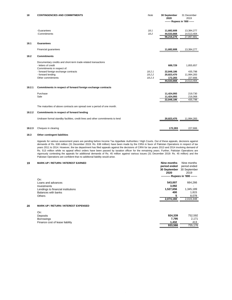| 18     | <b>CONTINGENCIES AND COMMITMENTS</b>                                          | <b>Note</b> | 30 September<br>2020          | 31 December<br>2019 |
|--------|-------------------------------------------------------------------------------|-------------|-------------------------------|---------------------|
|        |                                                                               |             | ------- Rupees in '000 ------ |                     |
|        |                                                                               |             |                               |                     |
|        | -Guarantees                                                                   | 18.1        | 11,682,608                    | 13,384,277          |
|        | -Commitments                                                                  | 18.2        | 44,533,668                    | 14,513,404          |
|        |                                                                               |             | 56,216,276                    | 27,897,681          |
| 18.1   | <b>Guarantees</b>                                                             |             |                               |                     |
|        | Financial guarantees                                                          |             | 11,682,608                    | 13,384,277          |
| 18.2   | <b>Commitments</b>                                                            |             |                               |                     |
|        | Documentary credits and short-term trade-related transactions                 |             |                               |                     |
|        | - letters of credit<br>Commitments in respect of:                             |             | 689,729                       | 1,855,657           |
|        | - forward foreign exchange contracts                                          | 18.2.1      | 22,848,186                    | 435,798             |
|        | - forward lending                                                             | 18.2.2      | 20,823,470                    | 11,994,283          |
|        | Other commitments                                                             | 18.2.3      | 172,283                       | 227,666             |
|        |                                                                               |             | 44,533,668                    | 14,513,404          |
| 18.2.1 | Commitments in respect of forward foreign exchange contracts                  |             |                               |                     |
|        | Purchase                                                                      |             | 11,424,093                    | 219,730             |
|        | Sale                                                                          |             | 11,424,093                    | 216,068             |
|        |                                                                               |             | 22,848,186                    | 435,798             |
|        | The maturities of above contracts are spread over a period of one month.      |             |                               |                     |
| 18.2.2 | Commitments in respect of forward lending                                     |             |                               |                     |
|        | Undrawn formal standby facilities, credit lines and other commitments to lend |             | 20,823,470                    | 11,994,283          |
|        |                                                                               |             |                               |                     |
| 18.2.3 | Cheques in clearing                                                           |             | 172.283                       | 227.666             |

#### **18.3 Other contingent liabilities**

Appeals for various assessment years are pending before Income Tax Appellate Authorities / High Courts. Out of these appeals, decisions against demands of Rs. 638 million (31 December 2019: Rs. 638 million) have been made by the CIRA in favor of Pakistan Operations in respect of tax years 2011 to 2014. However, the tax department has filed appeals against the decisions of CIRA for tax years 2013 and 2014 involving demand of Rs. 513 million while no appeal effect orders have been passed by taxation officer for the remaining years. Further, Pakistan Operations are vigorously contesting the appeals for additional demands of Rs. 45 million against various issues (31 December 2019: Rs. 45 million) and the Pakistan Operations are confident that no additional liability would arise.

#### **19 MARK-UP / RETURN / INTEREST EARNED Nine months** Nine months

|                                    | period ended                      | period ended |
|------------------------------------|-----------------------------------|--------------|
|                                    | 30 September                      | 30 September |
|                                    | 2020                              | 2019         |
|                                    | ---------- Rupees in '000 ------- |              |
| On:                                |                                   |              |
| Loans and advances                 | 543.007                           | 664.266      |
| Investments                        | 3.092                             |              |
| Lendings to financial institutions | 1,527,656                         | 1,345,189    |
| Balances with banks                | 400                               | 1.815        |
| <b>Others</b>                      | 5                                 | 8.078        |
|                                    | 2.074.160                         | 2.019.348    |

#### **20 MARK-UP / RETURN / INTEREST EXPENSED**

| On:                             |         |         |
|---------------------------------|---------|---------|
| Deposits                        | 924.339 | 752.592 |
| <b>Borrowings</b>               | 7.795   | 2.171   |
| Finance cost of lease liability | 1.432   | 413     |
|                                 | 933.566 | 755.176 |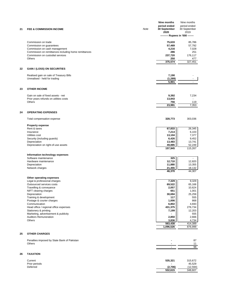| 21 | <b>FEE &amp; COMMISSION INCOME</b>                   | Note | Nine months<br>period ended<br>30 September<br>2020<br>--------- Rupees in '000 ------- | Nine months<br>period ended<br>30 September<br>2019 |
|----|------------------------------------------------------|------|-----------------------------------------------------------------------------------------|-----------------------------------------------------|
|    |                                                      |      |                                                                                         |                                                     |
|    | Commission on trade                                  |      | 75,633                                                                                  | 85,786                                              |
|    | Commission on guarantees                             |      | 57,469                                                                                  | 57,792                                              |
|    | Commission on cash management                        |      | 4,216                                                                                   | 7,028                                               |
|    | Commission on remittances including home remittances |      | 286                                                                                     | 251                                                 |
|    | Commission on custodial services                     |      | 237,720                                                                                 | 176,117                                             |
|    | Others                                               |      | 250                                                                                     | 477                                                 |
|    |                                                      |      | 375,574                                                                                 | 327,451                                             |
| 22 | <b>GAIN / (LOSS) ON SECURITIES</b>                   |      |                                                                                         |                                                     |
|    | Realised gain on sale of Treasury Bills              |      | 7,190                                                                                   |                                                     |
|    | Unrealised - held for trading                        |      | (1,289)                                                                                 |                                                     |
|    |                                                      |      | 5,901                                                                                   |                                                     |
|    |                                                      |      |                                                                                         |                                                     |
| 23 | <b>OTHER INCOME</b>                                  |      |                                                                                         |                                                     |
|    | Gain on sale of fixed assets - net                   |      | 9,392                                                                                   | 7,234                                               |
|    | Prior years refunds on utilities costs               |      | 13,843                                                                                  |                                                     |
|    | Others                                               |      | 756                                                                                     | 119                                                 |
|    |                                                      |      | 23,991                                                                                  | 7,353                                               |
| 24 | <b>OPERATING EXPENSES</b>                            |      |                                                                                         |                                                     |
|    | Total compensation expense                           |      | 328,773                                                                                 | 303,036                                             |
|    | <b>Property expense</b>                              |      |                                                                                         |                                                     |
|    | Rent & taxes                                         |      | 67,833                                                                                  | 26,345                                              |
|    | Insurance                                            |      | 7,214                                                                                   | 6,103                                               |
|    | Utilities cost                                       |      | 13,104                                                                                  | 7,377                                               |
|    | Security (including guards)                          |      | 6,426                                                                                   | 9,452                                               |
|    | Depreciation                                         |      | 13,483                                                                                  | 13,741                                              |
|    | Depreciation on right-of-use assets                  |      | 49,885                                                                                  | 52,249                                              |
|    |                                                      |      | 157,945                                                                                 | 115,267                                             |
|    | Information technology expenses                      |      |                                                                                         |                                                     |
|    | Software maintenance                                 |      | 325                                                                                     | $\blacksquare$                                      |
|    | Hardware maintenance                                 |      | 12,710                                                                                  | 12,820                                              |
|    | Depreciation                                         |      | 11,880                                                                                  | 13,355                                              |
|    | Network charges                                      |      | 21,455                                                                                  | 18,132                                              |
|    |                                                      |      | 46,370                                                                                  | 44,307                                              |
|    | Other operating expenses                             |      |                                                                                         |                                                     |
|    | Legal & professional charges                         |      | 7,329                                                                                   | 9,329                                               |
|    | Outsourced services costs                            |      | 69,522                                                                                  | 65,168                                              |
|    | Travelling & conveyance                              |      | 2,057                                                                                   | 10,624                                              |
|    | NIFT clearing charges                                |      | 651                                                                                     | 1,001                                               |
|    | Depreciation<br>Training & development               |      | 30,694<br>117                                                                           | 25,259<br>555                                       |
|    | Postage & courier charges                            |      | 1,006                                                                                   | 868                                                 |
|    | Communication                                        |      | 6,802                                                                                   | 4,693                                               |
|    | Head office / regional office expenses               |      | 431,375                                                                                 | 276,734                                             |
|    | Stationery & printing                                |      | 7,199                                                                                   | 12,203                                              |
|    | Marketing, advertisement & publicity                 |      |                                                                                         | 555                                                 |
|    | <b>Auditors Remuneration</b>                         |      | 2,850                                                                                   | 2,666                                               |
|    | <b>Others</b>                                        |      | 3,836                                                                                   | 4,734                                               |
|    |                                                      |      | 563,438                                                                                 | 414,389                                             |
|    |                                                      |      | 1,096,526                                                                               | 876,999                                             |
| 25 | <b>OTHER CHARGES</b>                                 |      |                                                                                         |                                                     |
|    | Penalties imposed by State Bank of Pakistan          |      |                                                                                         | 87                                                  |
|    | Others                                               |      |                                                                                         | 11                                                  |
|    |                                                      |      |                                                                                         | 98                                                  |
| 26 | <b>TAXATION</b>                                      |      |                                                                                         |                                                     |
|    | Current                                              |      | 535,321                                                                                 | 315,672                                             |
|    | Prior periods                                        |      |                                                                                         | 45,529                                              |
|    | Deferred                                             |      | (2,706)                                                                                 | (12, 594)                                           |
|    |                                                      |      | 532,615                                                                                 | 348,607                                             |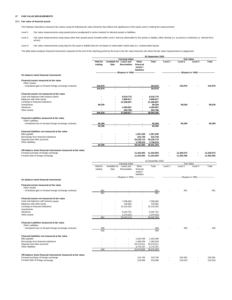#### **27 FAIR VALUE MEASUREMENTS**

#### **27.1 Fair value of financial assets**

The Pakistan Operations measures fair values using the following fair value hierarchy that reflects the significance of the inputs used in making the measurements

Level 1: Fair value measurements using quoted prices (unadjusted) in active markets for identical assets or liabilities.

Level 2: Fair value measurements using inputs other than quoted prices included within Level 1 that are observable for the assets or liability, either directly (i.e. as prices) or indirectly (i.e. derived from prices).

Level 3: Fair value measurements using input for the asset or liability that are not based on observable market data (i.e. unobservable inputs).

The table below analyses financial instruments measured at the end of the reporting period by the level in the fair value hierarchy into which the fair value measurement is categorised:

|                                                                          | 30 September 2020          |                       |                                                                               |                                               |                         |         |                                                                     |         |              |
|--------------------------------------------------------------------------|----------------------------|-----------------------|-------------------------------------------------------------------------------|-----------------------------------------------|-------------------------|---------|---------------------------------------------------------------------|---------|--------------|
|                                                                          |                            |                       | <b>Carrying Value</b>                                                         |                                               |                         |         | <b>Fair Value</b>                                                   |         |              |
|                                                                          | <b>Held for</b><br>trading | Sale                  | Available for Loans and<br><b>Receivables</b>                                 | Other<br>financial<br>assets /<br>liabilities | Total                   | Level 1 | Level 2                                                             | Level 3 | <b>Total</b> |
| On balance sheet financial instruments                                   |                            |                       | ---------------------- (Rupees in '000) ---------------                       |                                               |                         |         | -------------------------- (Rupees in '000) ----------------------- |         |              |
| Financial assets measured at fair value                                  |                            |                       |                                                                               |                                               |                         |         |                                                                     |         |              |
| <b>Other Assets</b>                                                      |                            |                       |                                                                               |                                               |                         |         |                                                                     |         |              |
| - Unrealized gain on forward foreign exchange contracts                  | 104,979<br>104,979         |                       |                                                                               |                                               | 104,979<br>104,979      |         | 104,979                                                             |         | 104,979      |
| Financial assets not measured at fair value                              |                            |                       |                                                                               |                                               |                         |         |                                                                     |         |              |
| Cash and balances with treasury banks                                    |                            |                       | 8,019,776                                                                     |                                               | 8,019,776               |         |                                                                     |         |              |
| Balances with other banks                                                |                            |                       | 3,896,817                                                                     |                                               | 3,896,817               |         |                                                                     |         |              |
| Lendings to financial institutions<br>Investments                        | 99,539                     |                       | 21,358,807                                                                    |                                               | 21,358,807<br>99,539    |         | 99,539                                                              |         | 99,539       |
| Advances                                                                 | $\blacksquare$             |                       | 4,369,687                                                                     |                                               | 4,369,687               |         |                                                                     |         |              |
| Other assets                                                             |                            |                       | 204,790                                                                       |                                               | 204,790                 |         |                                                                     |         |              |
|                                                                          | 204,518                    |                       | 37,849,877                                                                    |                                               | 38,054,395              |         |                                                                     |         |              |
| Financial Liabilities measured at fair value<br><b>Other Liabilities</b> |                            |                       |                                                                               |                                               |                         |         |                                                                     |         |              |
| - Unrealized loss on forward foreign exchange contracts                  | 69,399                     |                       |                                                                               |                                               | 69,399                  |         | 69,399                                                              |         | 69,399       |
|                                                                          | 69,399                     |                       |                                                                               | $\overline{a}$                                | 69,399                  |         |                                                                     |         |              |
| Financial liabilities not measured at fair value                         |                            |                       |                                                                               |                                               |                         |         |                                                                     |         |              |
| Bills payable                                                            |                            |                       |                                                                               | 1,067,638                                     | 1,067,638               |         |                                                                     |         |              |
| Borrowings from financial institutions                                   |                            |                       | ÷,                                                                            | 515,728                                       | 515,728                 |         |                                                                     |         |              |
| Deposits and other accounts                                              |                            |                       | ÷,                                                                            | 25,239,710                                    | 25,239,710              |         |                                                                     |         |              |
| Other liabilities                                                        | 69,399                     | $\blacksquare$        |                                                                               | 3,708,819<br>30,531,895                       | 3,708,819<br>30,601,294 |         |                                                                     |         |              |
| Off-balance sheet financial instruments measured at fair value           |                            |                       |                                                                               |                                               |                         |         |                                                                     |         |              |
| Forward purchase of foreign exchange                                     |                            |                       |                                                                               | 11.424.093                                    | 11,424,093              |         | 11,529,072                                                          |         | 11,529,072   |
| Forward sale of foreign exchange                                         |                            |                       |                                                                               | 11,424,093                                    | 11,424,093              |         | 11,493,492                                                          |         | 11,493,492   |
|                                                                          |                            |                       |                                                                               |                                               | 31 December 2019        |         |                                                                     |         |              |
|                                                                          |                            |                       | Carrying Value                                                                |                                               |                         |         | Fair Value                                                          |         |              |
|                                                                          | Held for<br>trading        | Available for<br>Sale | Loans and<br>Receivables                                                      | Other<br>financial                            | Total                   | Level 1 | Level 2                                                             | Level 3 | Total        |
|                                                                          |                            |                       |                                                                               | assets /                                      |                         |         |                                                                     |         |              |
|                                                                          |                            |                       |                                                                               | liabilities                                   |                         |         |                                                                     |         |              |
| On balance sheet financial instruments                                   |                            |                       | ----------------------------- (Rupees in '000) ------------------------------ |                                               |                         |         | -------------------------- (Rupees in '000) ----------------------- |         |              |
|                                                                          |                            |                       |                                                                               |                                               |                         |         |                                                                     |         |              |
| Financial assets measured at fair value<br><b>Other Assets</b>           |                            |                       |                                                                               |                                               |                         |         |                                                                     |         |              |
| - Unrealized gain on forward foreign exchange contracts                  | 651                        |                       |                                                                               |                                               | 651                     |         | 651                                                                 |         | 651          |
|                                                                          | 651                        |                       |                                                                               |                                               | 651                     |         |                                                                     |         |              |
| Financial assets not measured at fair value                              |                            |                       |                                                                               |                                               |                         |         |                                                                     |         |              |
| Cash and balances with treasury banks                                    |                            |                       | 7,558,956                                                                     |                                               | 7,558,956               |         |                                                                     |         |              |
| Balances with other banks                                                |                            |                       | 118,681                                                                       |                                               | 118,681                 |         |                                                                     |         |              |
| Lendings to financial institutions                                       |                            |                       | 15,132,302                                                                    |                                               | 15,132,302              |         |                                                                     |         |              |
| Investments<br>Advances                                                  |                            |                       | 9,225,751                                                                     | $\sim$                                        | 9,225,751               |         |                                                                     |         |              |
| Other assets                                                             |                            |                       | 1,374,423                                                                     |                                               | 1,374,423               |         |                                                                     |         |              |
|                                                                          | 651                        |                       | 33,410,113                                                                    |                                               | 33,410,764              |         |                                                                     |         |              |
| Financial Liabilities measured at fair value                             |                            |                       |                                                                               |                                               |                         |         |                                                                     |         |              |
| Other Liabilities                                                        |                            |                       |                                                                               |                                               |                         |         |                                                                     |         |              |
| - Unrealized loss on forward foreign exchange contracts                  | 450<br>450                 |                       |                                                                               |                                               | 450<br>450              |         | 450                                                                 |         | 450          |
| Financial liabilities not measured at fair value                         |                            |                       |                                                                               |                                               |                         |         |                                                                     |         |              |
| Bills payable                                                            |                            |                       |                                                                               | 1,032,458                                     | 1,032,458               |         |                                                                     |         |              |
| Borrowings from financial institutions                                   |                            |                       |                                                                               | 1,394,029                                     | 1,394,029               |         |                                                                     |         |              |
| Deposits and other accounts                                              |                            |                       |                                                                               | 20,473,611                                    | 20,473,611              |         |                                                                     |         |              |
| Other liabilities                                                        |                            |                       |                                                                               | 3,775,757                                     | 3,775,757               |         |                                                                     |         |              |
|                                                                          | 450                        |                       |                                                                               | 26,675,855                                    | 26,676,305              |         |                                                                     |         |              |
| Off-balance sheet financial instruments measured at fair value           |                            |                       |                                                                               |                                               |                         |         |                                                                     |         |              |
| Forward purchase of foreign exchange                                     |                            |                       |                                                                               |                                               | 219,730                 |         | 220,381                                                             |         | 220,381      |
|                                                                          |                            |                       |                                                                               | 219,730                                       |                         |         |                                                                     |         |              |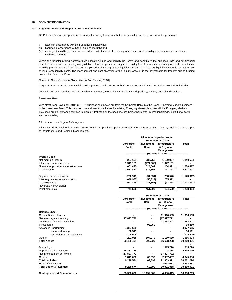#### **28 SEGMENT INFORMATION**

#### **28.1 Segment Details with respect to Business Activities**

DB Pakistan Operations operate under a transfer pricing framework that applies to all businesses and promotes pricing of :

- (i) assets in accordance with their underlying liquidity risk;
- (ii) liabilities in accordance with their funding maturity; and
- (iii) contingent liquidity exposures in accordance with the cost of providing for commensurate liquidity reserves to fund unexpected cash requirements.

Within this transfer pricing framework we allocate funding and liquidity risk costs and benefits to the business units and set financial incentives in line with the liquidity risk guidelines. Transfer prices are subject to liquidity (term) premiums depending on market conditions. Liquidity premiums are set by Treasury and picked up by a segregated liquidity account. The Treasury liquidity account is the aggregator of long- term liquidity costs. The management and cost allocation of the liquidity account is the key variable for transfer pricing funding costs within Deutsche Bank.

#### *Corporate Bank (Previously Global Transaction Banking (GTB))*

Corporate Bank provides commercial banking products and services for both corporates and financial institutions worldwide, including

domestic and cross-border payments, cash management, international trade finance, depository, custody and related services.

#### *Investment Bank*

With effect from November 2019, GTB FX business has moved out from the Corporate Bank into the Global Emerging Markets business in the Investment Bank. This transition is envisioned to capitalize the existing Emerging Markets business.Global Emerging Markets provides Foreign Exchange services to clients in Pakistan on the back of cross-border payments, international trade, institutional flows and bond trading.

#### *Infrastructure and Regional Management*

It includes all the back offices which are responsible to provide support services to the businesses. The Treasury business is also a part of Infrastructure and Regional Management.

|                                                   |                          | Nine months period ended<br>30 September 2020 |                                                                          |               |  |  |
|---------------------------------------------------|--------------------------|-----------------------------------------------|--------------------------------------------------------------------------|---------------|--|--|
|                                                   | Corporate<br><b>Bank</b> | Investment<br>Bank                            | Infrastructure<br>& Regional<br>Management<br>-- (Rupees in '000) ------ | Total         |  |  |
| <b>Profit &amp; Loss</b>                          |                          |                                               |                                                                          |               |  |  |
| Net mark-up / return                              | (287, 161)               | 287,758                                       | 1,139,997                                                                | 1,140,594     |  |  |
| Inter segment revenue - net                       | 1,319,159                | (271, 968)                                    | (1,047,191)                                                              |               |  |  |
| Non mark-up / return / interest income            | 651,425                  | 524,061                                       | 104,991                                                                  | 1,280,477     |  |  |
| <b>Total Income</b>                               | 1,683,423                | 539,851                                       | 197,797                                                                  | 2,421,071     |  |  |
| Segment direct expenses                           | (292, 913)               | (31, 534)                                     | (798, 570)                                                               | (1, 123, 017) |  |  |
| Inter segment expense allocation                  | (648, 985)               | (56, 327)                                     | 705,312                                                                  |               |  |  |
| <b>Total expenses</b><br>Reversals / (Provisions) | (941, 898)               | (87, 861)                                     | (93, 258)                                                                | (1, 123, 017) |  |  |
| Profit before tax                                 | 741,525                  | 451,990                                       | 104,539                                                                  | 1,298,054     |  |  |
|                                                   | 30 September 2020        |                                               |                                                                          |               |  |  |
|                                                   | Corporate                | Investment                                    | Infrastructure                                                           | Total         |  |  |
|                                                   | Bank                     | <b>Bank</b>                                   | & Regional                                                               |               |  |  |
|                                                   |                          |                                               | Management<br>(Rupees in '000) ----                                      |               |  |  |
| <b>Balance Sheet</b>                              |                          |                                               |                                                                          |               |  |  |
| Cash & Bank balances                              |                          |                                               | 11,916,593                                                               | 11,916,593    |  |  |
| Net inter segment lending                         | 17,827,772               |                                               | (17, 827, 772)                                                           |               |  |  |
| Lendings to financial institutions                |                          |                                               | 21,358,807                                                               | 21,358,807    |  |  |
| Investments                                       |                          | 98,250                                        |                                                                          | 98,250        |  |  |
| Advances - performing                             | 4,377,685                |                                               |                                                                          | 4,377,685     |  |  |
| - non-performing                                  | 96,511                   |                                               |                                                                          | 96,511        |  |  |
| - provision against advances                      | (104, 509)               |                                               |                                                                          | (104, 509)    |  |  |
| <b>Others</b>                                     | 291,035                  | 104,979                                       | 1,160,580                                                                | 1,556,594     |  |  |
| <b>Total Assets</b>                               | 22,488,494               | 203,229                                       | 16,608,208                                                               | 39,299,931    |  |  |
| <b>Borrowings</b>                                 |                          |                                               | 515,728                                                                  | 515,728       |  |  |
| Deposits & other accounts                         | 25,237,326               |                                               | 2,384                                                                    | 25,239,710    |  |  |
| Net inter segment borrowing                       | (17, 827, 772)           |                                               | 17,827,772                                                               |               |  |  |
| <b>Others</b>                                     | 1,819,020                | 69,399                                        | 2,957,437                                                                | 4,845,856     |  |  |
| <b>Total liabilities</b>                          | 9,228,574                | 69,399                                        | 21,303,321                                                               | 30,601,294    |  |  |
| Head office account                               |                          | $\overline{\phantom{0}}$                      | 8,698,637                                                                | 8,698,637     |  |  |
| <b>Total Equity &amp; liabilities</b>             | 9,228,574                | 69,399                                        | 30,001,958                                                               | 39,299,931    |  |  |
| <b>Contingencies &amp; Commitments</b>            | 33,368,090               | 18,157,567                                    | 4,690,619                                                                | 38,058,709    |  |  |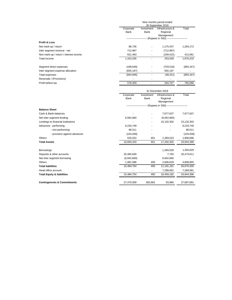|                                        | Nine months period ended<br>30 September 2019 |                          |                                              |            |  |  |
|----------------------------------------|-----------------------------------------------|--------------------------|----------------------------------------------|------------|--|--|
|                                        | Corporate                                     | Total                    |                                              |            |  |  |
|                                        | Bank                                          | <b>Bank</b>              | Regional                                     |            |  |  |
|                                        |                                               |                          | Management                                   |            |  |  |
|                                        |                                               |                          | -- (Rupees in '000) ------------------------ |            |  |  |
| <b>Profit &amp; Loss</b>               |                                               |                          |                                              |            |  |  |
| Net mark-up / return                   | 88,735                                        | $\overline{\phantom{a}}$ | 1,175,437                                    | 1,264,172  |  |  |
| Inter segment revenue - net            | 712,987                                       |                          | (712, 987)                                   |            |  |  |
| Non mark-up / return / interest income | 621,483                                       | ۰                        | (209, 422)                                   | 412,061    |  |  |
| Total Income                           | 1,423,205                                     |                          | 253,028                                      | 1,676,233  |  |  |
| Segment direct expenses                | (189, 649)                                    |                          | (703, 518)                                   | (893, 167) |  |  |
| Inter segment expense allocation       | (655, 197)                                    |                          | 655,197                                      |            |  |  |
| Total expenses                         | (844, 846)                                    |                          | (48, 321)                                    | (893, 167) |  |  |
| Reversals / (Provisions)               |                                               | ٠                        |                                              |            |  |  |
| Profit before tax                      | 578,359                                       |                          | 204,707                                      | 783,066    |  |  |

|                                        | 31 December 2019    |                    |                                              |            |  |  |
|----------------------------------------|---------------------|--------------------|----------------------------------------------|------------|--|--|
|                                        | Corporate<br>Bank   | Investment<br>Bank | Infrastructure &<br>Regional<br>Management   | Total      |  |  |
|                                        | ------------------- |                    | -- (Rupees in '000) ------------------------ |            |  |  |
| <b>Balance Sheet</b>                   |                     |                    |                                              |            |  |  |
| Cash & Bank balances                   |                     |                    | 7,677,637                                    | 7,677,637  |  |  |
| Net inter segment lending              | 6,942,660           |                    | (6,942,660)                                  |            |  |  |
| Lendings to financial institutions     |                     |                    | 15,132,302                                   | 15,132,302 |  |  |
| Advances - performing                  | 9,233,749           | ۰                  |                                              | 9,233,749  |  |  |
| - non-performing                       | 96.511              |                    |                                              | 96,511     |  |  |
| - provision against advances           | (104, 509)          |                    |                                              | (104, 509) |  |  |
| Others                                 | 525,022             | 651                | 1,383,023                                    | 1,908,696  |  |  |
| <b>Total Assets</b>                    | 16,693,433          | 651                | 17,250,302                                   | 33,944,386 |  |  |
| <b>Borrowings</b>                      |                     |                    | 1.394.029                                    | 1,394,029  |  |  |
| Deposits & other accounts              | 20,465,828          |                    | 7,783                                        | 20,473,611 |  |  |
| Net inter segment borrowing            | (6,942,660)         |                    | 6,942,660                                    |            |  |  |
| Others                                 | 1,961,586           | 450                | 2,846,629                                    | 4,808,665  |  |  |
| <b>Total liabilities</b>               | 15,484,754          | 450                | 11,191,101                                   | 26,676,305 |  |  |
| Head office account                    |                     | ٠                  | 7,268,081                                    | 7,268,081  |  |  |
| <b>Total Equity &amp; liabilities</b>  | 15,484,754          | 450                | 18,459,182                                   | 33,944,386 |  |  |
| <b>Contingencies &amp; Commitments</b> | 27,470,059          | 363,662            | 63,960                                       | 27,897,681 |  |  |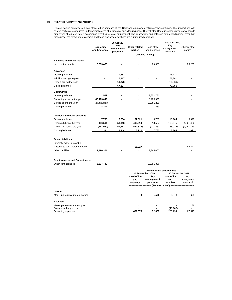#### **29 RELATED PARTY TRANSACTIONS**

Related parties comprise of Head office, other branches of the Bank and employees' retirement benefit funds. The transactions with related parties are conducted under normal course of business at arm's length prices. The Pakistan Operations also provide advances to employees at reduced rate in accordance with their terms of employment. The transactions and balances with related parties, other than those under the terms of employment and those disclosed elsewhere are summarized as follows

|                                      |                                    | 30-Sep-20                      |                               | 31 December 2019            |                                |                          |  |
|--------------------------------------|------------------------------------|--------------------------------|-------------------------------|-----------------------------|--------------------------------|--------------------------|--|
|                                      | <b>Head office</b><br>and branches | Key<br>management<br>personnel | Other related<br>parties      | Head office<br>and branches | Key<br>management<br>personnel | Other related<br>parties |  |
|                                      |                                    |                                | ------- (Rupees in '000) ---- |                             |                                |                          |  |
| <b>Balances with other banks</b>     |                                    |                                |                               |                             |                                |                          |  |
| In current accounts                  |                                    |                                |                               | 29,333                      |                                | 85,239                   |  |
|                                      | 3,893,463                          |                                |                               |                             |                                |                          |  |
| <b>Advances</b>                      |                                    |                                |                               |                             |                                |                          |  |
| Opening balance                      |                                    | 70,383                         |                               |                             | 16,171                         |                          |  |
| Addition during the year             |                                    | 7,217                          |                               |                             | 78,281                         |                          |  |
| Repaid during the year               |                                    | (10, 273)                      |                               |                             | (24,069)                       |                          |  |
| Closing balance                      |                                    | 67,327                         |                               |                             | 70,383                         |                          |  |
| <b>Borrowings</b>                    |                                    |                                |                               |                             |                                |                          |  |
| Opening balance                      | 559                                |                                |                               | 2,852,780                   |                                |                          |  |
| Borrowings during the year           |                                    |                                |                               | 10,228,999                  |                                |                          |  |
|                                      | 40,473,649                         |                                |                               |                             |                                |                          |  |
| Settled during the year              | (40, 445, 998)                     |                                |                               | (13,081,220)                |                                |                          |  |
| Closing balance                      | 28,211                             |                                |                               | 559                         |                                |                          |  |
|                                      |                                    |                                |                               |                             |                                |                          |  |
| Deposits and other accounts          |                                    |                                |                               |                             |                                |                          |  |
| Opening balance                      | 7,783                              | 8,764                          | 32,621                        | 6,786                       | 13,164                         | 8,978                    |  |
| Received during the year             | 136,561                            | 53,343                         | 493,819                       | 218,557                     | 160,675                        | 4,321,422                |  |
| Withdrawn during the year            | (141, 960)                         | (59,763)                       | (520, 518)                    | (217, 560)                  | (165, 075)                     | (4,297,779)              |  |
| Closing balance                      | 2,384                              | 2,344                          | 5,922                         | 7,783                       | 8,764                          | 32,621                   |  |
|                                      |                                    |                                |                               |                             |                                |                          |  |
| <b>Other Liabilities</b>             |                                    |                                |                               |                             |                                |                          |  |
| Interest / mark-up payable           |                                    |                                |                               |                             |                                |                          |  |
| Payable to staff retirement fund     |                                    |                                | 65,327                        |                             |                                | 65,327                   |  |
| Other liabilities                    | 2,790,351                          |                                |                               | 2,365,067                   |                                |                          |  |
|                                      |                                    |                                |                               |                             |                                |                          |  |
| <b>Contingencies and Commitments</b> |                                    |                                |                               |                             |                                |                          |  |
| Other contingencies                  | 5,237,447                          |                                |                               | 10,981,896                  |                                |                          |  |
|                                      |                                    |                                |                               |                             |                                |                          |  |
|                                      |                                    |                                |                               |                             | Nine months period ended       |                          |  |
|                                      |                                    |                                | <b>Head office</b>            | 30 September 2020<br>Key    | <b>Head office</b>             | 30 September 2019<br>Key |  |
|                                      |                                    |                                | and                           | management                  | and                            | management               |  |
|                                      |                                    |                                | branches                      | personnel                   | branches                       | personnel                |  |
|                                      |                                    |                                |                               |                             | - (Rupees in '000) ---         |                          |  |
| Income                               |                                    |                                |                               |                             |                                |                          |  |
| Mark-up / return / interest earned   |                                    |                                | 3                             | 1,506                       | 6,373                          | 1.678                    |  |
|                                      |                                    |                                |                               |                             |                                |                          |  |
| <b>Expense</b>                       |                                    |                                |                               |                             |                                |                          |  |
| Mark-up / return / interest paic     |                                    |                                |                               |                             | 9                              | 188                      |  |
| Foreign exchange loss                |                                    |                                |                               |                             | (41, 160)                      |                          |  |
| Operating expenses                   |                                    |                                | 431,375                       | 72,638                      | 276,734                        | 67,516                   |  |